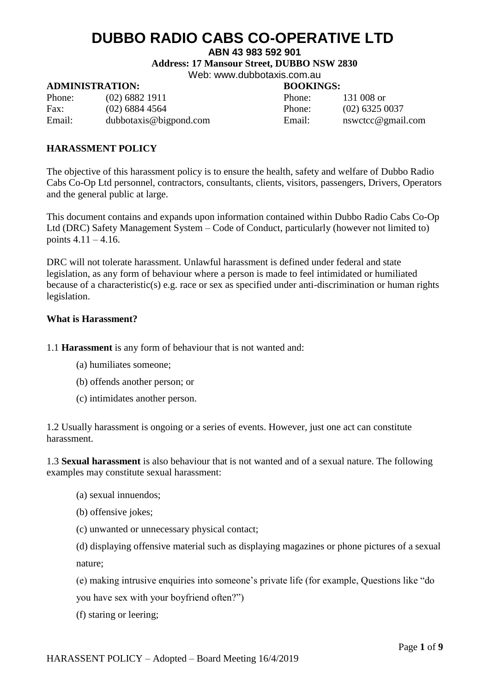### **ABN 43 983 592 901**

**Address: 17 Mansour Street, DUBBO NSW 2830**

Web: [www.dubbotaxis.com.au](http://www.dubbotaxis.com.au/)

### **ADMINISTRATION: BOOKINGS:**

Phone: (02) 6882 1911 Phone: 131 008 or Fax: (02) 6884 4564 Phone: (02) 6325 0037 Email: [dubbotaxis@bigpond.com](mailto:dubbotaxis@bigpond.com) Email: [nswctcc@gmail.com](mailto:nswctcc@gmail.com)

### **HARASSMENT POLICY**

The objective of this harassment policy is to ensure the health, safety and welfare of Dubbo Radio Cabs Co-Op Ltd personnel, contractors, consultants, clients, visitors, passengers, Drivers, Operators and the general public at large.

This document contains and expands upon information contained within Dubbo Radio Cabs Co-Op Ltd (DRC) Safety Management System – Code of Conduct, particularly (however not limited to) points  $4.11 - 4.16$ .

DRC will not tolerate harassment. Unlawful harassment is defined under federal and state legislation, as any form of behaviour where a person is made to feel intimidated or humiliated because of a characteristic(s) e.g. race or sex as specified under anti-discrimination or human rights legislation.

### **What is Harassment?**

1.1 **Harassment** is any form of behaviour that is not wanted and:

- (a) humiliates someone;
- (b) offends another person; or
- (c) intimidates another person.

1.2 Usually harassment is ongoing or a series of events. However, just one act can constitute harassment.

1.3 **Sexual harassment** is also behaviour that is not wanted and of a sexual nature. The following examples may constitute sexual harassment:

- (a) sexual innuendos;
- (b) offensive jokes;
- (c) unwanted or unnecessary physical contact;

(d) displaying offensive material such as displaying magazines or phone pictures of a sexual nature;

(e) making intrusive enquiries into someone's private life (for example, Questions like "do you have sex with your boyfriend often?")

(f) staring or leering;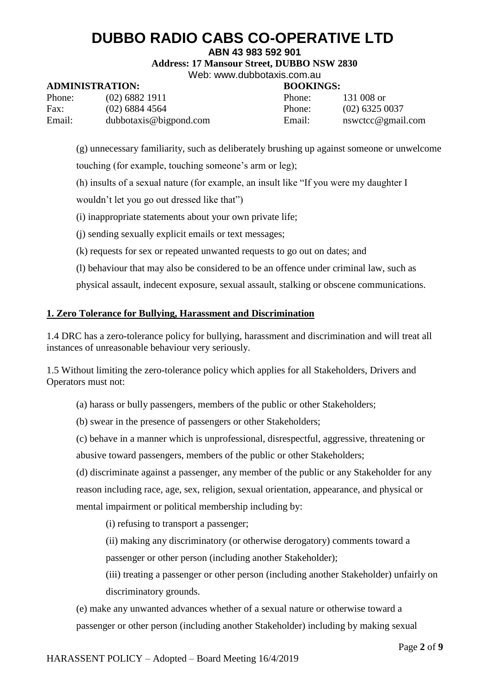**ABN 43 983 592 901**

**Address: 17 Mansour Street, DUBBO NSW 2830**

Web: [www.dubbotaxis.com.au](http://www.dubbotaxis.com.au/)

## **ADMINISTRATION: BOOKINGS:**

| Phone: | $(02)$ 6882 1911       | Phone: | 131 008 or     |
|--------|------------------------|--------|----------------|
| Fax:   | $(02)$ 6884 4564       | Phone: | $(02)$ 6325    |
| Email: | dubbotaxis@bigpond.com | Email: | $n$ swetcc $@$ |

e) 6325 0037 wctcc@gmail.com

(g) unnecessary familiarity, such as deliberately brushing up against someone or unwelcome

touching (for example, touching someone's arm or leg);

(h) insults of a sexual nature (for example, an insult like "If you were my daughter I

wouldn't let you go out dressed like that")

(i) inappropriate statements about your own private life;

(j) sending sexually explicit emails or text messages;

(k) requests for sex or repeated unwanted requests to go out on dates; and

(l) behaviour that may also be considered to be an offence under criminal law, such as

physical assault, indecent exposure, sexual assault, stalking or obscene communications.

## **1. Zero Tolerance for Bullying, Harassment and Discrimination**

1.4 DRC has a zero-tolerance policy for bullying, harassment and discrimination and will treat all instances of unreasonable behaviour very seriously.

1.5 Without limiting the zero-tolerance policy which applies for all Stakeholders, Drivers and Operators must not:

(a) harass or bully passengers, members of the public or other Stakeholders;

(b) swear in the presence of passengers or other Stakeholders;

(c) behave in a manner which is unprofessional, disrespectful, aggressive, threatening or abusive toward passengers, members of the public or other Stakeholders;

(d) discriminate against a passenger, any member of the public or any Stakeholder for any reason including race, age, sex, religion, sexual orientation, appearance, and physical or mental impairment or political membership including by:

(i) refusing to transport a passenger;

(ii) making any discriminatory (or otherwise derogatory) comments toward a passenger or other person (including another Stakeholder);

(iii) treating a passenger or other person (including another Stakeholder) unfairly on discriminatory grounds.

(e) make any unwanted advances whether of a sexual nature or otherwise toward a passenger or other person (including another Stakeholder) including by making sexual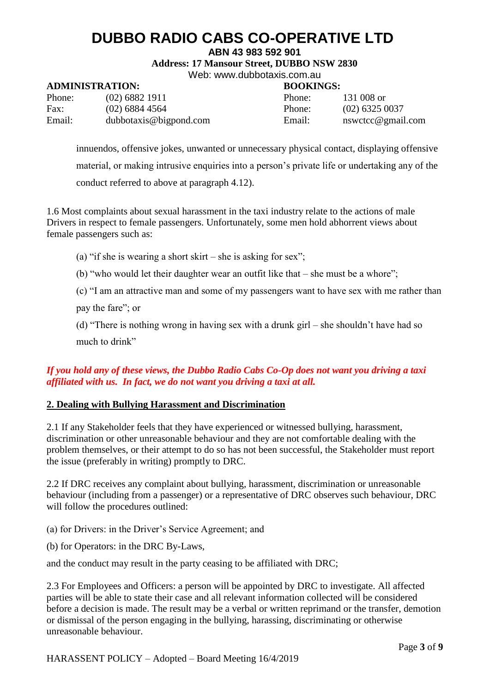### **ABN 43 983 592 901**

**Address: 17 Mansour Street, DUBBO NSW 2830**

Web: [www.dubbotaxis.com.au](http://www.dubbotaxis.com.au/)

## **ADMINISTRATION: BOOKINGS:**

| Phone: | $(02)$ 6882 1911       | Phone: | 131 008 or        |
|--------|------------------------|--------|-------------------|
| Fax:   | $(02)$ 6884 4564       | Phone: | $(02)$ 6325 0037  |
| Email: | dubbotaxis@bigpond.com | Email: | nswetce@gmail.com |

innuendos, offensive jokes, unwanted or unnecessary physical contact, displaying offensive material, or making intrusive enquiries into a person's private life or undertaking any of the conduct referred to above at paragraph 4.12).

1.6 Most complaints about sexual harassment in the taxi industry relate to the actions of male Drivers in respect to female passengers. Unfortunately, some men hold abhorrent views about female passengers such as:

(a) "if she is wearing a short skirt – she is asking for sex";

(b) "who would let their daughter wear an outfit like that – she must be a whore";

(c) "I am an attractive man and some of my passengers want to have sex with me rather than

pay the fare"; or

(d) "There is nothing wrong in having sex with a drunk girl – she shouldn't have had so much to drink"

## *If you hold any of these views, the Dubbo Radio Cabs Co-Op does not want you driving a taxi affiliated with us. In fact, we do not want you driving a taxi at all.*

### **2. Dealing with Bullying Harassment and Discrimination**

2.1 If any Stakeholder feels that they have experienced or witnessed bullying, harassment, discrimination or other unreasonable behaviour and they are not comfortable dealing with the problem themselves, or their attempt to do so has not been successful, the Stakeholder must report the issue (preferably in writing) promptly to DRC.

2.2 If DRC receives any complaint about bullying, harassment, discrimination or unreasonable behaviour (including from a passenger) or a representative of DRC observes such behaviour, DRC will follow the procedures outlined:

(a) for Drivers: in the Driver's Service Agreement; and

(b) for Operators: in the DRC By-Laws,

and the conduct may result in the party ceasing to be affiliated with DRC;

2.3 For Employees and Officers: a person will be appointed by DRC to investigate. All affected parties will be able to state their case and all relevant information collected will be considered before a decision is made. The result may be a verbal or written reprimand or the transfer, demotion or dismissal of the person engaging in the bullying, harassing, discriminating or otherwise unreasonable behaviour.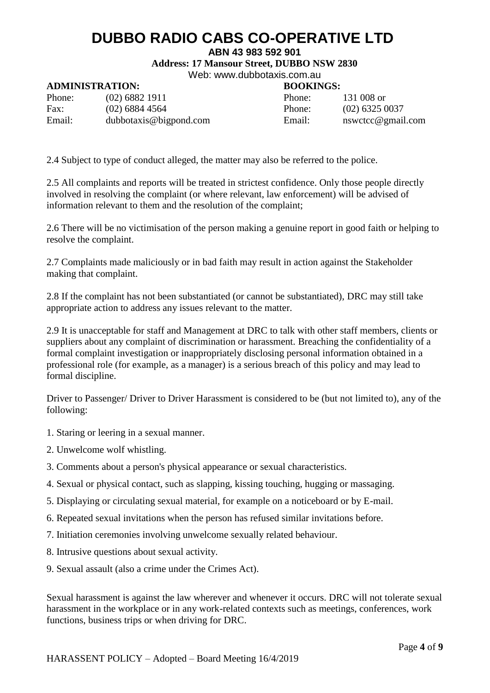### **ABN 43 983 592 901**

**Address: 17 Mansour Street, DUBBO NSW 2830**

Web: [www.dubbotaxis.com.au](http://www.dubbotaxis.com.au/)

## **ADMINISTRATION: BOOKINGS:**

| Phone: | $(02)$ 6882 1911       | Phone: | 131 008 or     |
|--------|------------------------|--------|----------------|
| Fax:   | $(02)$ 6884 4564       | Phone: | $(02)$ 6325    |
| Email: | dubbotaxis@bigpond.com | Email: | $n$ swetcc $@$ |

Phone:  $(02)$  6325 0037 Email: [nswctcc@gmail.com](mailto:nswctcc@gmail.com)

2.4 Subject to type of conduct alleged, the matter may also be referred to the police.

2.5 All complaints and reports will be treated in strictest confidence. Only those people directly involved in resolving the complaint (or where relevant, law enforcement) will be advised of information relevant to them and the resolution of the complaint;

2.6 There will be no victimisation of the person making a genuine report in good faith or helping to resolve the complaint.

2.7 Complaints made maliciously or in bad faith may result in action against the Stakeholder making that complaint.

2.8 If the complaint has not been substantiated (or cannot be substantiated), DRC may still take appropriate action to address any issues relevant to the matter.

2.9 It is unacceptable for staff and Management at DRC to talk with other staff members, clients or suppliers about any complaint of discrimination or harassment. Breaching the confidentiality of a formal complaint investigation or inappropriately disclosing personal information obtained in a professional role (for example, as a manager) is a serious breach of this policy and may lead to formal discipline.

Driver to Passenger/ Driver to Driver Harassment is considered to be (but not limited to), any of the following:

- 1. Staring or leering in a sexual manner.
- 2. Unwelcome wolf whistling.
- 3. Comments about a person's physical appearance or sexual characteristics.
- 4. Sexual or physical contact, such as slapping, kissing touching, hugging or massaging.
- 5. Displaying or circulating sexual material, for example on a noticeboard or by E-mail.
- 6. Repeated sexual invitations when the person has refused similar invitations before.
- 7. Initiation ceremonies involving unwelcome sexually related behaviour.
- 8. Intrusive questions about sexual activity.
- 9. Sexual assault (also a crime under the Crimes Act).

Sexual harassment is against the law wherever and whenever it occurs. DRC will not tolerate sexual harassment in the workplace or in any work-related contexts such as meetings, conferences, work functions, business trips or when driving for DRC.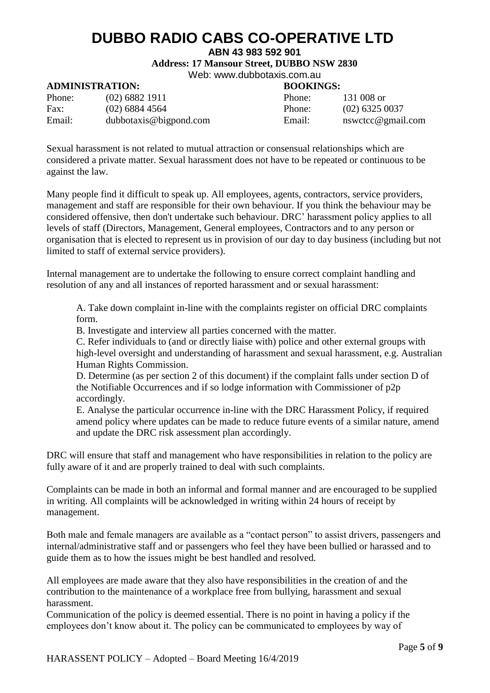### **ABN 43 983 592 901**

**Address: 17 Mansour Street, DUBBO NSW 2830**

Web: [www.dubbotaxis.com.au](http://www.dubbotaxis.com.au/)

### **ADMINISTRATION: BOOKINGS:**

| Phone: | $(02)$ 6882 1911       | Phone: | 131 008 or        |
|--------|------------------------|--------|-------------------|
| Fax:   | $(02)$ 6884 4564       | Phone: | $(02)$ 6325 0037  |
| Email: | dubbotaxis@bigpond.com | Email: | nswetce@gmail.com |

Sexual harassment is not related to mutual attraction or consensual relationships which are considered a private matter. Sexual harassment does not have to be repeated or continuous to be against the law.

Many people find it difficult to speak up. All employees, agents, contractors, service providers, management and staff are responsible for their own behaviour. If you think the behaviour may be considered offensive, then don't undertake such behaviour. DRC' harassment policy applies to all levels of staff (Directors, Management, General employees, Contractors and to any person or organisation that is elected to represent us in provision of our day to day business (including but not limited to staff of external service providers).

Internal management are to undertake the following to ensure correct complaint handling and resolution of any and all instances of reported harassment and or sexual harassment:

A. Take down complaint in-line with the complaints register on official DRC complaints form.

B. Investigate and interview all parties concerned with the matter.

C. Refer individuals to (and or directly liaise with) police and other external groups with high-level oversight and understanding of harassment and sexual harassment, e.g. Australian Human Rights Commission.

D. Determine (as per section 2 of this document) if the complaint falls under section D of the Notifiable Occurrences and if so lodge information with Commissioner of p2p accordingly.

E. Analyse the particular occurrence in-line with the DRC Harassment Policy, if required amend policy where updates can be made to reduce future events of a similar nature, amend and update the DRC risk assessment plan accordingly.

DRC will ensure that staff and management who have responsibilities in relation to the policy are fully aware of it and are properly trained to deal with such complaints.

Complaints can be made in both an informal and formal manner and are encouraged to be supplied in writing. All complaints will be acknowledged in writing within 24 hours of receipt by management.

Both male and female managers are available as a "contact person" to assist drivers, passengers and internal/administrative staff and or passengers who feel they have been bullied or harassed and to guide them as to how the issues might be best handled and resolved.

All employees are made aware that they also have responsibilities in the creation of and the contribution to the maintenance of a workplace free from bullying, harassment and sexual harassment.

Communication of the policy is deemed essential. There is no point in having a policy if the employees don't know about it. The policy can be communicated to employees by way of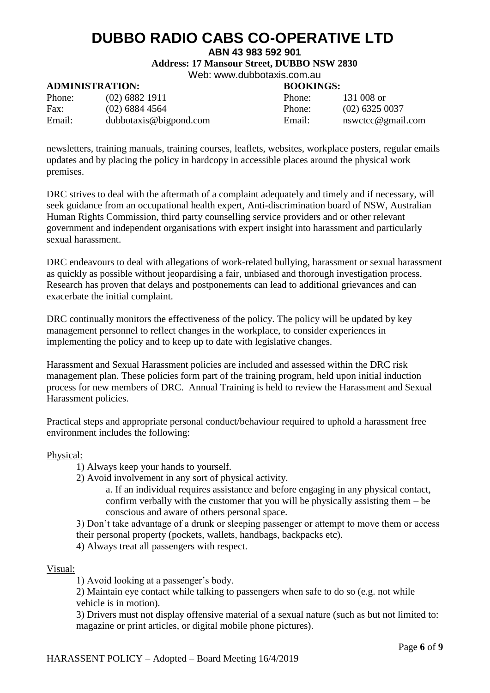### **ABN 43 983 592 901**

**Address: 17 Mansour Street, DUBBO NSW 2830**

Web: [www.dubbotaxis.com.au](http://www.dubbotaxis.com.au/)

## **ADMINISTRATION: BOOKINGS:**

| Phone: | $(02)$ 6882 1911       | Phone: | 131 008 or     |
|--------|------------------------|--------|----------------|
| Fax:   | $(02)$ 6884 4564       | Phone: | $(02)$ 6325    |
| Email: | dubbotaxis@bigpond.com | Email: | $n$ swetcc $@$ |

Phone:  $(02)$  6325 0037 Email: [nswctcc@gmail.com](mailto:nswctcc@gmail.com)

newsletters, training manuals, training courses, leaflets, websites, workplace posters, regular emails updates and by placing the policy in hardcopy in accessible places around the physical work premises.

DRC strives to deal with the aftermath of a complaint adequately and timely and if necessary, will seek guidance from an occupational health expert, Anti-discrimination board of NSW, Australian Human Rights Commission, third party counselling service providers and or other relevant government and independent organisations with expert insight into harassment and particularly sexual harassment.

DRC endeavours to deal with allegations of work-related bullying, harassment or sexual harassment as quickly as possible without jeopardising a fair, unbiased and thorough investigation process. Research has proven that delays and postponements can lead to additional grievances and can exacerbate the initial complaint.

DRC continually monitors the effectiveness of the policy. The policy will be updated by key management personnel to reflect changes in the workplace, to consider experiences in implementing the policy and to keep up to date with legislative changes.

Harassment and Sexual Harassment policies are included and assessed within the DRC risk management plan. These policies form part of the training program, held upon initial induction process for new members of DRC. Annual Training is held to review the Harassment and Sexual Harassment policies.

Practical steps and appropriate personal conduct/behaviour required to uphold a harassment free environment includes the following:

Physical:

- 1) Always keep your hands to yourself.
- 2) Avoid involvement in any sort of physical activity.
	- a. If an individual requires assistance and before engaging in any physical contact, confirm verbally with the customer that you will be physically assisting them – be conscious and aware of others personal space.

3) Don't take advantage of a drunk or sleeping passenger or attempt to move them or access their personal property (pockets, wallets, handbags, backpacks etc).

4) Always treat all passengers with respect.

Visual:

1) Avoid looking at a passenger's body.

2) Maintain eye contact while talking to passengers when safe to do so (e.g. not while vehicle is in motion).

3) Drivers must not display offensive material of a sexual nature (such as but not limited to: magazine or print articles, or digital mobile phone pictures).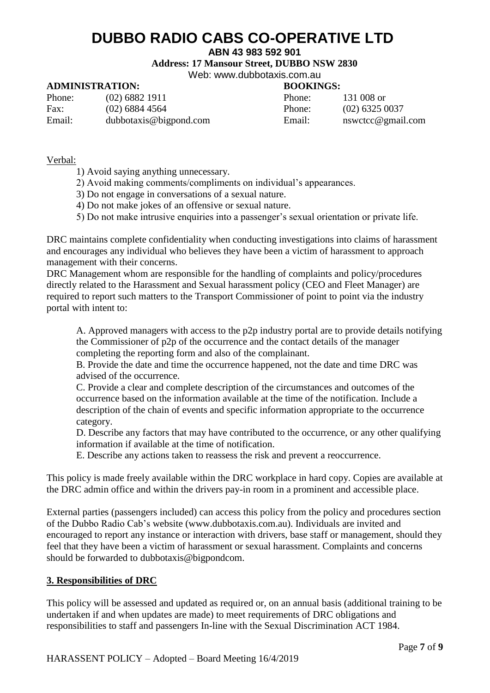### **ABN 43 983 592 901**

**Address: 17 Mansour Street, DUBBO NSW 2830**

Web: [www.dubbotaxis.com.au](http://www.dubbotaxis.com.au/)

## **ADMINISTRATION: BOOKINGS:**

| Phone: | $(02)$ 6882 1911       | Phone: | 131 008 or     |
|--------|------------------------|--------|----------------|
| Fax:   | $(02)$ 6884 4564       | Phone: | $(02)$ 6325    |
| Email: | dubbotaxis@bigpond.com | Email: | $n$ swetcc $@$ |

Phone:  $(02)$  6325 0037 Email: [nswctcc@gmail.com](mailto:nswctcc@gmail.com)

### Verbal:

- 1) Avoid saying anything unnecessary.
- 2) Avoid making comments/compliments on individual's appearances.
- 3) Do not engage in conversations of a sexual nature.
- 4) Do not make jokes of an offensive or sexual nature.
- 5) Do not make intrusive enquiries into a passenger's sexual orientation or private life.

DRC maintains complete confidentiality when conducting investigations into claims of harassment and encourages any individual who believes they have been a victim of harassment to approach management with their concerns.

DRC Management whom are responsible for the handling of complaints and policy/procedures directly related to the Harassment and Sexual harassment policy (CEO and Fleet Manager) are required to report such matters to the Transport Commissioner of point to point via the industry portal with intent to:

A. Approved managers with access to the p2p industry portal are to provide details notifying the Commissioner of p2p of the occurrence and the contact details of the manager completing the reporting form and also of the complainant.

B. Provide the date and time the occurrence happened, not the date and time DRC was advised of the occurrence.

C. Provide a clear and complete description of the circumstances and outcomes of the occurrence based on the information available at the time of the notification. Include a description of the chain of events and specific information appropriate to the occurrence category.

D. Describe any factors that may have contributed to the occurrence, or any other qualifying information if available at the time of notification.

E. Describe any actions taken to reassess the risk and prevent a reoccurrence.

This policy is made freely available within the DRC workplace in hard copy. Copies are available at the DRC admin office and within the drivers pay-in room in a prominent and accessible place.

External parties (passengers included) can access this policy from the policy and procedures section of the Dubbo Radio Cab's website (www.dubbotaxis.com.au). Individuals are invited and encouraged to report any instance or interaction with drivers, base staff or management, should they feel that they have been a victim of harassment or sexual harassment. Complaints and concerns should be forwarded to dubbotaxis@bigpondcom.

## **3. Responsibilities of DRC**

This policy will be assessed and updated as required or, on an annual basis (additional training to be undertaken if and when updates are made) to meet requirements of DRC obligations and responsibilities to staff and passengers In-line with the Sexual Discrimination ACT 1984.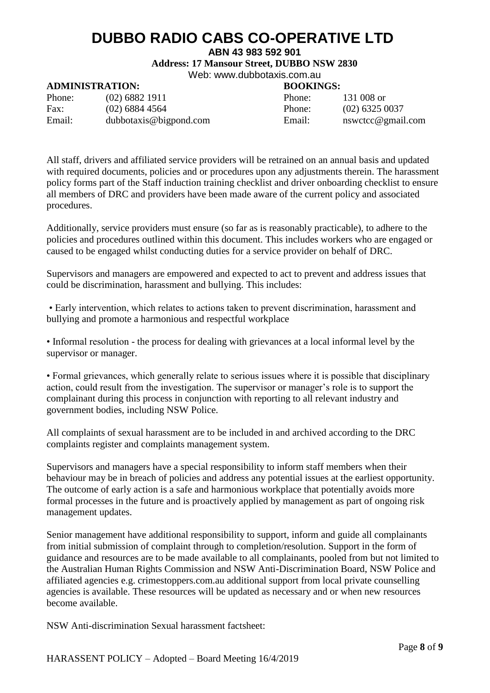### **ABN 43 983 592 901**

**Address: 17 Mansour Street, DUBBO NSW 2830**

Web: [www.dubbotaxis.com.au](http://www.dubbotaxis.com.au/)

## **ADMINISTRATION: BOOKINGS:**

| Phone: | $(02)$ 6882 1911       | Phone: | 131 008 or     |
|--------|------------------------|--------|----------------|
| Fax:   | $(02)$ 6884 4564       | Phone: | $(02)$ 6325    |
| Email: | dubbotaxis@bigpond.com | Email: | $n$ swetcc $@$ |

Phone:  $(02)$  6325 0037

Email: [nswctcc@gmail.com](mailto:nswctcc@gmail.com)

All staff, drivers and affiliated service providers will be retrained on an annual basis and updated with required documents, policies and or procedures upon any adjustments therein. The harassment policy forms part of the Staff induction training checklist and driver onboarding checklist to ensure all members of DRC and providers have been made aware of the current policy and associated procedures.

Additionally, service providers must ensure (so far as is reasonably practicable), to adhere to the policies and procedures outlined within this document. This includes workers who are engaged or caused to be engaged whilst conducting duties for a service provider on behalf of DRC.

Supervisors and managers are empowered and expected to act to prevent and address issues that could be discrimination, harassment and bullying. This includes:

• Early intervention, which relates to actions taken to prevent discrimination, harassment and bullying and promote a harmonious and respectful workplace

• Informal resolution - the process for dealing with grievances at a local informal level by the supervisor or manager.

• Formal grievances, which generally relate to serious issues where it is possible that disciplinary action, could result from the investigation. The supervisor or manager's role is to support the complainant during this process in conjunction with reporting to all relevant industry and government bodies, including NSW Police.

All complaints of sexual harassment are to be included in and archived according to the DRC complaints register and complaints management system.

Supervisors and managers have a special responsibility to inform staff members when their behaviour may be in breach of policies and address any potential issues at the earliest opportunity. The outcome of early action is a safe and harmonious workplace that potentially avoids more formal processes in the future and is proactively applied by management as part of ongoing risk management updates.

Senior management have additional responsibility to support, inform and guide all complainants from initial submission of complaint through to completion/resolution. Support in the form of guidance and resources are to be made available to all complainants, pooled from but not limited to the Australian Human Rights Commission and NSW Anti-Discrimination Board, NSW Police and affiliated agencies e.g. crimestoppers.com.au additional support from local private counselling agencies is available. These resources will be updated as necessary and or when new resources become available.

NSW Anti-discrimination Sexual harassment factsheet: